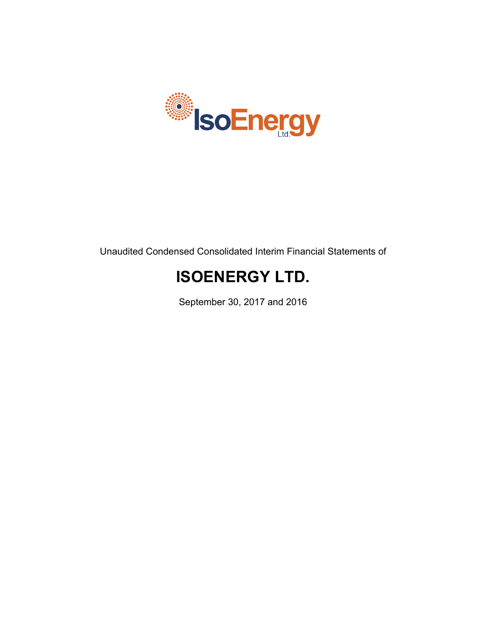

Unaudited Condensed Consolidated Interim Financial Statements of

# **ISOENERGY LTD.**

September 30, 2017 and 2016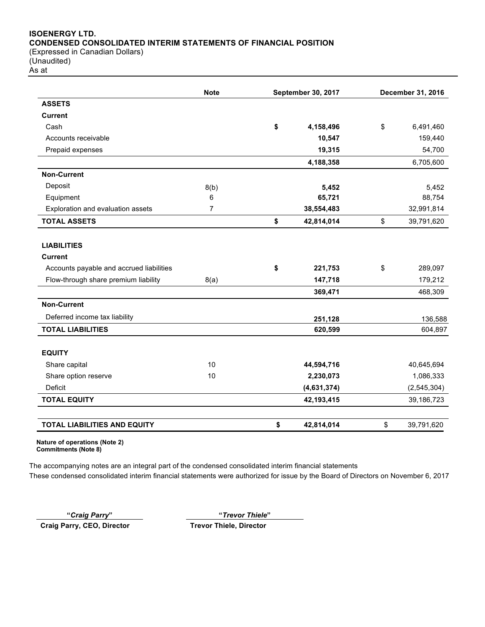# **ISOENERGY LTD. CONDENSED CONSOLIDATED INTERIM STATEMENTS OF FINANCIAL POSITION** (Expressed in Canadian Dollars)

(Unaudited) As at

|                                          | <b>Note</b><br>September 30, 2017 |    |             | December 31, 2016 |
|------------------------------------------|-----------------------------------|----|-------------|-------------------|
| <b>ASSETS</b>                            |                                   |    |             |                   |
| <b>Current</b>                           |                                   |    |             |                   |
| Cash                                     |                                   | \$ | 4,158,496   | \$<br>6,491,460   |
| Accounts receivable                      |                                   |    | 10,547      | 159,440           |
| Prepaid expenses                         |                                   |    | 19,315      | 54,700            |
|                                          |                                   |    | 4,188,358   | 6,705,600         |
| <b>Non-Current</b>                       |                                   |    |             |                   |
| Deposit                                  | 8(b)                              |    | 5,452       | 5,452             |
| Equipment                                | 6                                 |    | 65,721      | 88,754            |
| Exploration and evaluation assets        | $\overline{7}$                    |    | 38,554,483  | 32,991,814        |
| <b>TOTAL ASSETS</b>                      |                                   | \$ | 42,814,014  | \$<br>39,791,620  |
| <b>LIABILITIES</b>                       |                                   |    |             |                   |
| <b>Current</b>                           |                                   |    |             |                   |
| Accounts payable and accrued liabilities |                                   | \$ | 221,753     | \$<br>289,097     |
| Flow-through share premium liability     | 8(a)                              |    | 147,718     | 179,212           |
|                                          |                                   |    | 369,471     | 468,309           |
| <b>Non-Current</b>                       |                                   |    |             |                   |
| Deferred income tax liability            |                                   |    | 251,128     | 136,588           |
| <b>TOTAL LIABILITIES</b>                 |                                   |    | 620,599     | 604,897           |
| <b>EQUITY</b>                            |                                   |    |             |                   |
| Share capital                            | 10                                |    | 44,594,716  | 40,645,694        |
| Share option reserve                     | 10                                |    | 2,230,073   | 1,086,333         |
| Deficit                                  |                                   |    | (4,631,374) | (2, 545, 304)     |
| <b>TOTAL EQUITY</b>                      |                                   |    | 42,193,415  | 39,186,723        |
| TOTAL LIABILITIES AND EQUITY             |                                   | \$ | 42,814,014  | \$<br>39,791,620  |

**Nature of operations (Note 2) Commitments (Note 8)**

The accompanying notes are an integral part of the condensed consolidated interim financial statements These condensed consolidated interim financial statements were authorized for issue by the Board of Directors on November 6, 2017

**"***Craig Parry***" "***Trevor Thiele***"**

**Craig Parry, CEO, Director Trevor Thiele, Director**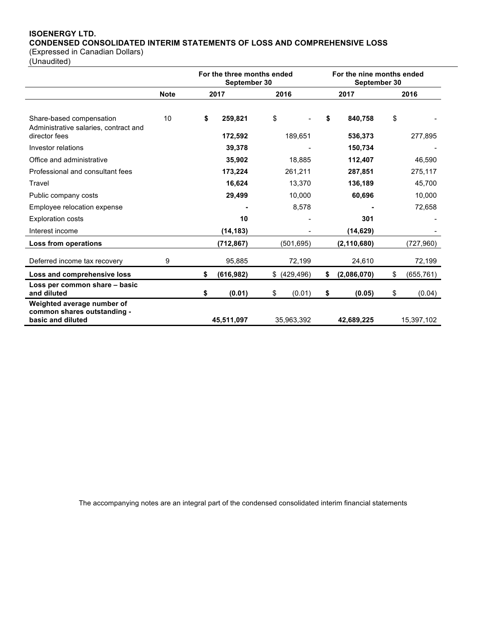# **ISOENERGY LTD. CONDENSED CONSOLIDATED INTERIM STATEMENTS OF LOSS AND COMPREHENSIVE LOSS**

(Expressed in Canadian Dollars)

(Unaudited)

|                                                                                |             | For the three months ended<br>September 30 |                   |      |                   | For the nine months ended<br>September 30 |                    |                   |
|--------------------------------------------------------------------------------|-------------|--------------------------------------------|-------------------|------|-------------------|-------------------------------------------|--------------------|-------------------|
|                                                                                | <b>Note</b> |                                            | 2017              | 2016 |                   | 2017                                      |                    | 2016              |
| Share-based compensation<br>Administrative salaries, contract and              | 10          | \$                                         | 259,821           | \$   |                   | \$                                        | 840,758            | \$                |
| director fees<br>Investor relations                                            |             |                                            | 172,592<br>39,378 |      | 189,651           |                                           | 536,373<br>150,734 | 277,895           |
| Office and administrative<br>Professional and consultant fees                  |             |                                            | 35,902<br>173,224 |      | 18,885<br>261,211 |                                           | 112,407<br>287,851 | 46,590            |
| Travel                                                                         |             |                                            | 16,624            |      | 13,370            |                                           | 136,189            | 275,117<br>45,700 |
| Public company costs                                                           |             |                                            | 29,499            |      | 10,000            |                                           | 60,696             | 10,000            |
| Employee relocation expense<br><b>Exploration costs</b>                        |             |                                            | 10                |      | 8,578             |                                           | 301                | 72,658            |
| Interest income                                                                |             |                                            | (14, 183)         |      |                   |                                           | (14, 629)          |                   |
| Loss from operations                                                           |             |                                            | (712, 867)        |      | (501,695)         |                                           | (2, 110, 680)      | (727, 960)        |
| Deferred income tax recovery                                                   | 9           |                                            | 95,885            |      | 72,199            |                                           | 24,610             | 72,199            |
| Loss and comprehensive loss                                                    |             | \$                                         | (616, 982)        | \$   | (429, 496)        | \$                                        | (2,086,070)        | \$<br>(655, 761)  |
| Loss per common share - basic<br>and diluted                                   |             | \$                                         | (0.01)            | \$   | (0.01)            | \$                                        | (0.05)             | \$<br>(0.04)      |
| Weighted average number of<br>common shares outstanding -<br>basic and diluted |             |                                            | 45,511,097        |      | 35,963,392        |                                           | 42,689,225         | 15,397,102        |

The accompanying notes are an integral part of the condensed consolidated interim financial statements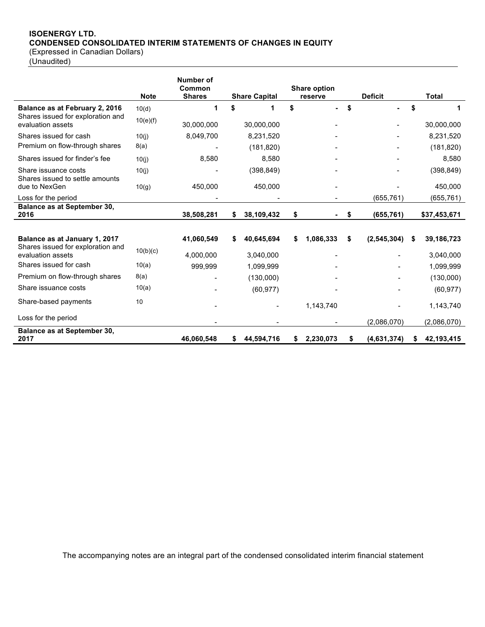# **ISOENERGY LTD. CONDENSED CONSOLIDATED INTERIM STATEMENTS OF CHANGES IN EQUITY**

(Expressed in Canadian Dollars)

(Unaudited)

|                                                         | <b>Note</b> | Number of<br>Common<br><b>Shares</b> |    | <b>Share Capital</b> | <b>Share option</b><br>reserve | <b>Deficit</b>      |    | <b>Total</b> |
|---------------------------------------------------------|-------------|--------------------------------------|----|----------------------|--------------------------------|---------------------|----|--------------|
| Balance as at February 2, 2016                          | 10(d)       | 1                                    | \$ | 1                    | \$<br>۰.                       | \$                  | \$ | 1            |
| Shares issued for exploration and<br>evaluation assets  | 10(e)(f)    | 30,000,000                           |    | 30,000,000           |                                |                     |    | 30,000,000   |
| Shares issued for cash                                  | 10(i)       | 8,049,700                            |    | 8,231,520            |                                |                     |    | 8,231,520    |
| Premium on flow-through shares                          | 8(a)        |                                      |    | (181, 820)           |                                |                     |    | (181, 820)   |
| Shares issued for finder's fee                          | 10(i)       | 8,580                                |    | 8,580                |                                |                     |    | 8,580        |
| Share issuance costs<br>Shares issued to settle amounts | 10(j)       |                                      |    | (398, 849)           |                                |                     |    | (398, 849)   |
| due to NexGen                                           | 10(g)       | 450,000                              |    | 450,000              |                                |                     |    | 450,000      |
| Loss for the period                                     |             |                                      |    |                      | $\blacksquare$                 | (655, 761)          |    | (655, 761)   |
| <b>Balance as at September 30,</b><br>2016              |             | 38,508,281                           | \$ | 38,109,432           | \$                             | \$<br>(655, 761)    |    | \$37,453,671 |
|                                                         |             |                                      |    |                      |                                |                     |    |              |
| Balance as at January 1, 2017                           |             | 41,060,549                           | S  | 40,645,694           | \$<br>1,086,333                | \$<br>(2, 545, 304) | S  | 39,186,723   |
| Shares issued for exploration and<br>evaluation assets  | 10(b)(c)    | 4,000,000                            |    | 3,040,000            |                                |                     |    | 3,040,000    |
| Shares issued for cash                                  | 10(a)       | 999,999                              |    | 1,099,999            |                                |                     |    | 1,099,999    |
| Premium on flow-through shares                          | 8(a)        |                                      |    | (130,000)            |                                |                     |    | (130,000)    |
| Share issuance costs                                    | 10(a)       |                                      |    | (60, 977)            |                                |                     |    | (60, 977)    |
| Share-based payments                                    | 10          |                                      |    |                      | 1,143,740                      |                     |    | 1,143,740    |
| Loss for the period                                     |             |                                      |    |                      |                                | (2,086,070)         |    | (2,086,070)  |
| Balance as at September 30,<br>2017                     |             | 46.060.548                           | S. | 44,594,716           | \$2,230,073                    | \$<br>(4,631,374)   | \$ | 42,193,415   |

The accompanying notes are an integral part of the condensed consolidated interim financial statement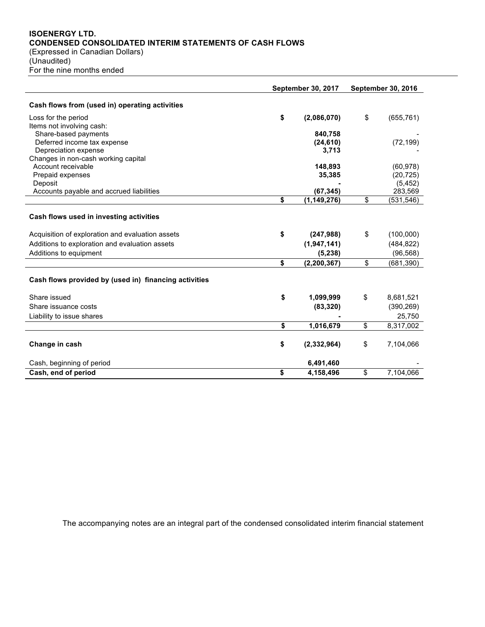# **ISOENERGY LTD. CONDENSED CONSOLIDATED INTERIM STATEMENTS OF CASH FLOWS** (Expressed in Canadian Dollars)

(Unaudited) For the nine months ended

|                                                       | <b>September 30, 2017</b> | <b>September 30, 2016</b> |                       |  |
|-------------------------------------------------------|---------------------------|---------------------------|-----------------------|--|
| Cash flows from (used in) operating activities        |                           |                           |                       |  |
| Loss for the period                                   | \$<br>(2,086,070)         | \$                        | (655, 761)            |  |
| Items not involving cash:                             |                           |                           |                       |  |
| Share-based payments                                  | 840,758                   |                           |                       |  |
| Deferred income tax expense                           | (24, 610)                 |                           | (72, 199)             |  |
| Depreciation expense                                  | 3,713                     |                           |                       |  |
| Changes in non-cash working capital                   |                           |                           |                       |  |
| Account receivable                                    | 148,893                   |                           | (60, 978)             |  |
| Prepaid expenses<br>Deposit                           | 35,385                    |                           | (20, 725)<br>(5, 452) |  |
| Accounts payable and accrued liabilities              | (67, 345)                 |                           | 283,569               |  |
|                                                       | \$<br>(1, 149, 276)       | \$                        | (531, 546)            |  |
| Cash flows used in investing activities               |                           |                           |                       |  |
| Acquisition of exploration and evaluation assets      | \$<br>(247,988)           | \$                        | (100,000)             |  |
| Additions to exploration and evaluation assets        | (1,947,141)               |                           | (484, 822)            |  |
| Additions to equipment                                | (5, 238)                  |                           | (96, 568)             |  |
|                                                       | \$<br>(2, 200, 367)       | \$                        | (681, 390)            |  |
| Cash flows provided by (used in) financing activities |                           |                           |                       |  |
| Share issued                                          | \$<br>1,099,999           | \$                        | 8,681,521             |  |
| Share issuance costs                                  | (83, 320)                 |                           | (390, 269)            |  |
| Liability to issue shares                             |                           |                           | 25,750                |  |
|                                                       | \$<br>1,016,679           | \$                        | 8,317,002             |  |
| Change in cash                                        | \$<br>(2, 332, 964)       | \$                        | 7,104,066             |  |
| Cash, beginning of period                             | 6,491,460                 |                           |                       |  |
| Cash, end of period                                   | \$<br>4,158,496           | \$                        | 7,104,066             |  |

The accompanying notes are an integral part of the condensed consolidated interim financial statement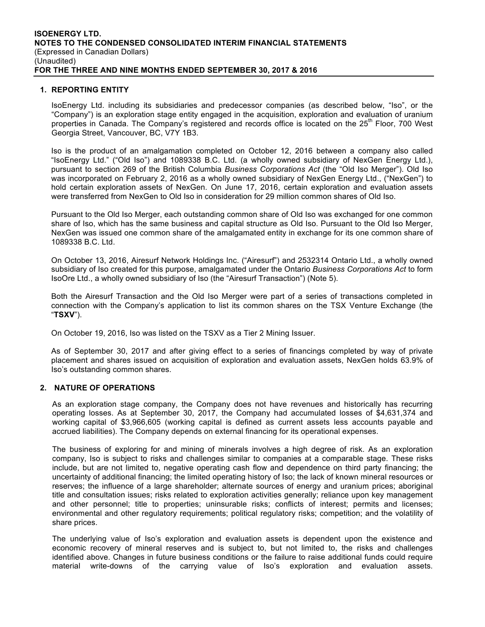#### **1. REPORTING ENTITY**

IsoEnergy Ltd. including its subsidiaries and predecessor companies (as described below, "Iso", or the "Company") is an exploration stage entity engaged in the acquisition, exploration and evaluation of uranium properties in Canada. The Company's registered and records office is located on the 25<sup>th</sup> Floor, 700 West Georgia Street, Vancouver, BC, V7Y 1B3.

Iso is the product of an amalgamation completed on October 12, 2016 between a company also called "IsoEnergy Ltd." ("Old Iso") and 1089338 B.C. Ltd. (a wholly owned subsidiary of NexGen Energy Ltd.), pursuant to section 269 of the British Columbia *Business Corporations Act* (the "Old Iso Merger"). Old Iso was incorporated on February 2, 2016 as a wholly owned subsidiary of NexGen Energy Ltd., ("NexGen") to hold certain exploration assets of NexGen. On June 17, 2016, certain exploration and evaluation assets were transferred from NexGen to Old Iso in consideration for 29 million common shares of Old Iso.

Pursuant to the Old Iso Merger, each outstanding common share of Old Iso was exchanged for one common share of Iso, which has the same business and capital structure as Old Iso. Pursuant to the Old Iso Merger, NexGen was issued one common share of the amalgamated entity in exchange for its one common share of 1089338 B.C. Ltd.

On October 13, 2016, Airesurf Network Holdings Inc. ("Airesurf") and 2532314 Ontario Ltd., a wholly owned subsidiary of Iso created for this purpose, amalgamated under the Ontario *Business Corporations Act* to form IsoOre Ltd., a wholly owned subsidiary of Iso (the "Airesurf Transaction") (Note 5).

Both the Airesurf Transaction and the Old Iso Merger were part of a series of transactions completed in connection with the Company's application to list its common shares on the TSX Venture Exchange (the "**TSXV**").

On October 19, 2016, Iso was listed on the TSXV as a Tier 2 Mining Issuer.

As of September 30, 2017 and after giving effect to a series of financings completed by way of private placement and shares issued on acquisition of exploration and evaluation assets, NexGen holds 63.9% of Iso's outstanding common shares.

# **2. NATURE OF OPERATIONS**

As an exploration stage company, the Company does not have revenues and historically has recurring operating losses. As at September 30, 2017, the Company had accumulated losses of \$4,631,374 and working capital of \$3,966,605 (working capital is defined as current assets less accounts payable and accrued liabilities). The Company depends on external financing for its operational expenses.

The business of exploring for and mining of minerals involves a high degree of risk. As an exploration company, Iso is subject to risks and challenges similar to companies at a comparable stage. These risks include, but are not limited to, negative operating cash flow and dependence on third party financing; the uncertainty of additional financing; the limited operating history of Iso; the lack of known mineral resources or reserves; the influence of a large shareholder; alternate sources of energy and uranium prices; aboriginal title and consultation issues; risks related to exploration activities generally; reliance upon key management and other personnel; title to properties; uninsurable risks; conflicts of interest; permits and licenses; environmental and other regulatory requirements; political regulatory risks; competition; and the volatility of share prices.

The underlying value of Iso's exploration and evaluation assets is dependent upon the existence and economic recovery of mineral reserves and is subject to, but not limited to, the risks and challenges identified above. Changes in future business conditions or the failure to raise additional funds could require material write-downs of the carrying value of Iso's exploration and evaluation assets.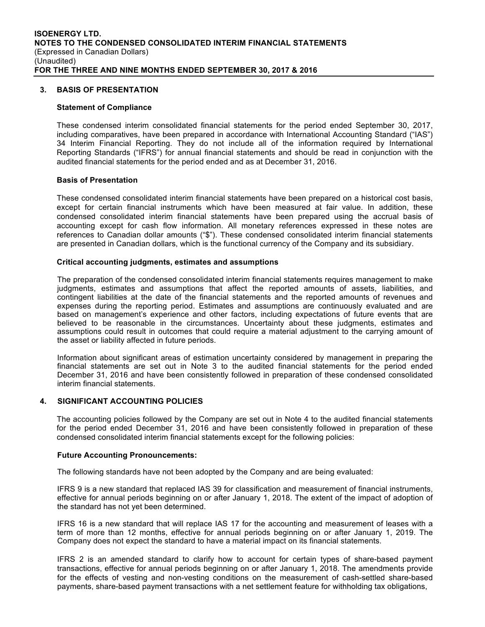#### **3. BASIS OF PRESENTATION**

#### **Statement of Compliance**

These condensed interim consolidated financial statements for the period ended September 30, 2017, including comparatives, have been prepared in accordance with International Accounting Standard ("IAS") 34 Interim Financial Reporting. They do not include all of the information required by International Reporting Standards ("IFRS") for annual financial statements and should be read in conjunction with the audited financial statements for the period ended and as at December 31, 2016.

#### **Basis of Presentation**

These condensed consolidated interim financial statements have been prepared on a historical cost basis, except for certain financial instruments which have been measured at fair value. In addition, these condensed consolidated interim financial statements have been prepared using the accrual basis of accounting except for cash flow information. All monetary references expressed in these notes are references to Canadian dollar amounts ("\$"). These condensed consolidated interim financial statements are presented in Canadian dollars, which is the functional currency of the Company and its subsidiary.

#### **Critical accounting judgments, estimates and assumptions**

The preparation of the condensed consolidated interim financial statements requires management to make judgments, estimates and assumptions that affect the reported amounts of assets, liabilities, and contingent liabilities at the date of the financial statements and the reported amounts of revenues and expenses during the reporting period. Estimates and assumptions are continuously evaluated and are based on management's experience and other factors, including expectations of future events that are believed to be reasonable in the circumstances. Uncertainty about these judgments, estimates and assumptions could result in outcomes that could require a material adjustment to the carrying amount of the asset or liability affected in future periods.

Information about significant areas of estimation uncertainty considered by management in preparing the financial statements are set out in Note 3 to the audited financial statements for the period ended December 31, 2016 and have been consistently followed in preparation of these condensed consolidated interim financial statements.

# **4. SIGNIFICANT ACCOUNTING POLICIES**

The accounting policies followed by the Company are set out in Note 4 to the audited financial statements for the period ended December 31, 2016 and have been consistently followed in preparation of these condensed consolidated interim financial statements except for the following policies:

#### **Future Accounting Pronouncements:**

The following standards have not been adopted by the Company and are being evaluated:

IFRS 9 is a new standard that replaced IAS 39 for classification and measurement of financial instruments, effective for annual periods beginning on or after January 1, 2018. The extent of the impact of adoption of the standard has not yet been determined.

IFRS 16 is a new standard that will replace IAS 17 for the accounting and measurement of leases with a term of more than 12 months, effective for annual periods beginning on or after January 1, 2019. The Company does not expect the standard to have a material impact on its financial statements.

IFRS 2 is an amended standard to clarify how to account for certain types of share-based payment transactions, effective for annual periods beginning on or after January 1, 2018. The amendments provide for the effects of vesting and non-vesting conditions on the measurement of cash-settled share-based payments, share-based payment transactions with a net settlement feature for withholding tax obligations,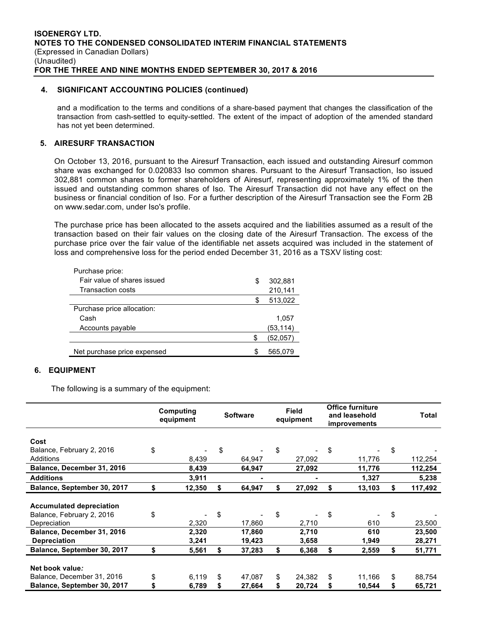# **4. SIGNIFICANT ACCOUNTING POLICIES (continued)**

and a modification to the terms and conditions of a share-based payment that changes the classification of the transaction from cash-settled to equity-settled. The extent of the impact of adoption of the amended standard has not yet been determined.

# **5. AIRESURF TRANSACTION**

On October 13, 2016, pursuant to the Airesurf Transaction, each issued and outstanding Airesurf common share was exchanged for 0.020833 Iso common shares. Pursuant to the Airesurf Transaction, Iso issued 302,881 common shares to former shareholders of Airesurf, representing approximately 1% of the then issued and outstanding common shares of Iso. The Airesurf Transaction did not have any effect on the business or financial condition of Iso. For a further description of the Airesurf Transaction see the Form 2B on www.sedar.com, under Iso's profile.

The purchase price has been allocated to the assets acquired and the liabilities assumed as a result of the transaction based on their fair values on the closing date of the Airesurf Transaction. The excess of the purchase price over the fair value of the identifiable net assets acquired was included in the statement of loss and comprehensive loss for the period ended December 31, 2016 as a TSXV listing cost:

| Purchase price:             |    |          |
|-----------------------------|----|----------|
| Fair value of shares issued | S  | 302,881  |
| Transaction costs           |    | 210,141  |
|                             | S. | 513,022  |
| Purchase price allocation:  |    |          |
| Cash                        |    | 1,057    |
| Accounts payable            |    | (53,114) |
|                             | S  | (52,057) |
| Net purchase price expensed | ß. | 565,079  |

# **6. EQUIPMENT**

The following is a summary of the equipment:

|                                                              | Computing<br><b>Software</b><br>equipment |                | <b>Field</b><br>equipment |                  | <b>Office furniture</b><br>and leasehold<br><i>improvements</i> |                | Total |            |                  |
|--------------------------------------------------------------|-------------------------------------------|----------------|---------------------------|------------------|-----------------------------------------------------------------|----------------|-------|------------|------------------|
| Cost                                                         |                                           |                |                           |                  |                                                                 |                |       |            |                  |
| Balance, February 2, 2016                                    | \$                                        |                | \$                        |                  | \$                                                              |                | \$    |            | \$               |
| Additions                                                    |                                           | 8,439          |                           | 64,947           |                                                                 | 27,092         |       | 11,776     | 112,254          |
| Balance, December 31, 2016                                   |                                           | 8,439          |                           | 64,947           |                                                                 | 27,092         |       | 11,776     | 112,254          |
| <b>Additions</b>                                             |                                           | 3,911          |                           |                  |                                                                 |                |       | 1,327      | 5,238            |
| Balance, September 30, 2017                                  | \$                                        | 12,350         |                           | 64,947           |                                                                 | 27,092         | S     | 13,103     | \$<br>117,492    |
| <b>Accumulated depreciation</b><br>Balance, February 2, 2016 | \$                                        |                | \$                        |                  | \$                                                              |                | \$    |            | \$               |
| Depreciation<br>Balance, December 31, 2016                   |                                           | 2,320<br>2,320 |                           | 17,860<br>17,860 |                                                                 | 2,710<br>2,710 |       | 610<br>610 | 23,500<br>23,500 |
| <b>Depreciation</b>                                          |                                           | 3,241          |                           | 19,423           |                                                                 | 3,658          |       | 1,949      | 28,271           |
| Balance, September 30, 2017                                  | \$                                        | 5,561          | S                         | 37,283           | \$                                                              | 6,368          | \$    | 2,559      | \$<br>51,771     |
| Net book value:                                              |                                           |                |                           |                  |                                                                 |                |       |            |                  |
| Balance, December 31, 2016                                   | \$                                        | 6,119          | \$                        | 47,087           | \$                                                              | 24,382         | \$    | 11,166     | \$<br>88,754     |
| Balance, September 30, 2017                                  | S                                         | 6,789          |                           | 27,664           |                                                                 | 20,724         |       | 10,544     | \$<br>65,721     |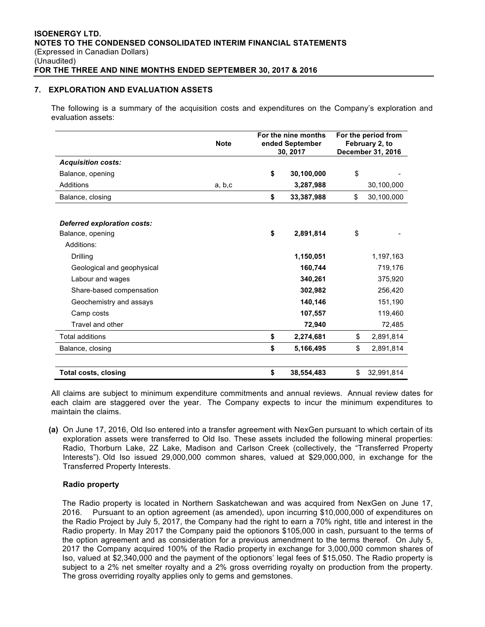# **7. EXPLORATION AND EVALUATION ASSETS**

The following is a summary of the acquisition costs and expenditures on the Company's exploration and evaluation assets:

|                             | <b>Note</b> | For the nine months<br>ended September<br>30, 2017 | For the period from<br>February 2, to<br>December 31, 2016 |            |  |
|-----------------------------|-------------|----------------------------------------------------|------------------------------------------------------------|------------|--|
| <b>Acquisition costs:</b>   |             |                                                    |                                                            |            |  |
| Balance, opening            |             | \$<br>30,100,000                                   | \$                                                         |            |  |
| Additions                   | a, b, c     | 3,287,988                                          |                                                            | 30,100,000 |  |
| Balance, closing            |             | \$<br>33,387,988                                   | \$                                                         | 30,100,000 |  |
| Deferred exploration costs: |             |                                                    |                                                            |            |  |
| Balance, opening            |             | \$<br>2,891,814                                    | \$                                                         |            |  |
| Additions:                  |             |                                                    |                                                            |            |  |
| Drilling                    |             | 1,150,051                                          |                                                            | 1,197,163  |  |
| Geological and geophysical  |             | 160,744                                            |                                                            | 719,176    |  |
| Labour and wages            |             | 340,261                                            |                                                            | 375,920    |  |
| Share-based compensation    |             | 302,982                                            |                                                            | 256,420    |  |
| Geochemistry and assays     |             | 140,146                                            |                                                            | 151,190    |  |
| Camp costs                  |             | 107,557                                            |                                                            | 119,460    |  |
| Travel and other            |             | 72,940                                             |                                                            | 72,485     |  |
| <b>Total additions</b>      |             | \$<br>2,274,681                                    | \$                                                         | 2,891,814  |  |
| Balance, closing            |             | \$<br>5,166,495                                    | \$                                                         | 2,891,814  |  |
| <b>Total costs, closing</b> |             | \$<br>38.554.483                                   | \$                                                         | 32.991.814 |  |

All claims are subject to minimum expenditure commitments and annual reviews. Annual review dates for each claim are staggered over the year. The Company expects to incur the minimum expenditures to maintain the claims.

**(a)** On June 17, 2016, Old Iso entered into a transfer agreement with NexGen pursuant to which certain of its exploration assets were transferred to Old Iso. These assets included the following mineral properties: Radio, Thorburn Lake, 2Z Lake, Madison and Carlson Creek (collectively, the "Transferred Property Interests"). Old Iso issued 29,000,000 common shares, valued at \$29,000,000, in exchange for the Transferred Property Interests.

# **Radio property**

The Radio property is located in Northern Saskatchewan and was acquired from NexGen on June 17, 2016. Pursuant to an option agreement (as amended), upon incurring \$10,000,000 of expenditures on the Radio Project by July 5, 2017, the Company had the right to earn a 70% right, title and interest in the Radio property. In May 2017 the Company paid the optionors \$105,000 in cash, pursuant to the terms of the option agreement and as consideration for a previous amendment to the terms thereof. On July 5, 2017 the Company acquired 100% of the Radio property in exchange for 3,000,000 common shares of Iso, valued at \$2,340,000 and the payment of the optionors' legal fees of \$15,050. The Radio property is subject to a 2% net smelter royalty and a 2% gross overriding royalty on production from the property. The gross overriding royalty applies only to gems and gemstones.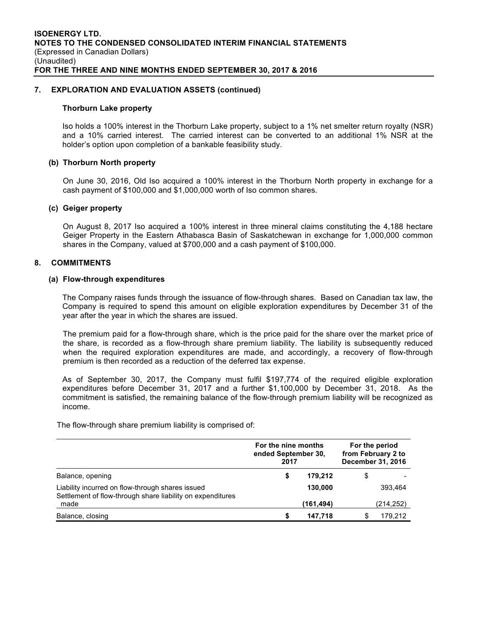# **7. EXPLORATION AND EVALUATION ASSETS (continued)**

#### **Thorburn Lake property**

Iso holds a 100% interest in the Thorburn Lake property, subject to a 1% net smelter return royalty (NSR) and a 10% carried interest. The carried interest can be converted to an additional 1% NSR at the holder's option upon completion of a bankable feasibility study.

# **(b) Thorburn North property**

On June 30, 2016, Old Iso acquired a 100% interest in the Thorburn North property in exchange for a cash payment of \$100,000 and \$1,000,000 worth of Iso common shares.

#### **(c) Geiger property**

On August 8, 2017 Iso acquired a 100% interest in three mineral claims constituting the 4,188 hectare Geiger Property in the Eastern Athabasca Basin of Saskatchewan in exchange for 1,000,000 common shares in the Company, valued at \$700,000 and a cash payment of \$100,000.

# **8. COMMITMENTS**

#### **(a) Flow-through expenditures**

The Company raises funds through the issuance of flow-through shares. Based on Canadian tax law, the Company is required to spend this amount on eligible exploration expenditures by December 31 of the year after the year in which the shares are issued.

The premium paid for a flow-through share, which is the price paid for the share over the market price of the share, is recorded as a flow-through share premium liability. The liability is subsequently reduced when the required exploration expenditures are made, and accordingly, a recovery of flow-through premium is then recorded as a reduction of the deferred tax expense.

As of September 30, 2017, the Company must fulfil \$197,774 of the required eligible exploration expenditures before December 31, 2017 and a further \$1,100,000 by December 31, 2018. As the commitment is satisfied, the remaining balance of the flow-through premium liability will be recognized as income.

The flow-through share premium liability is comprised of:

|                                                                                                                | For the nine months<br>ended September 30,<br>2017 |            | For the period<br>from February 2 to<br>December 31, 2016 |           |  |
|----------------------------------------------------------------------------------------------------------------|----------------------------------------------------|------------|-----------------------------------------------------------|-----------|--|
| Balance, opening                                                                                               | S                                                  | 179.212    | \$                                                        |           |  |
| Liability incurred on flow-through shares issued<br>Settlement of flow-through share liability on expenditures |                                                    | 130,000    |                                                           | 393.464   |  |
| made                                                                                                           |                                                    | (161, 494) |                                                           | (214,252) |  |
| Balance, closing                                                                                               | S                                                  | 147.718    |                                                           | 179.212   |  |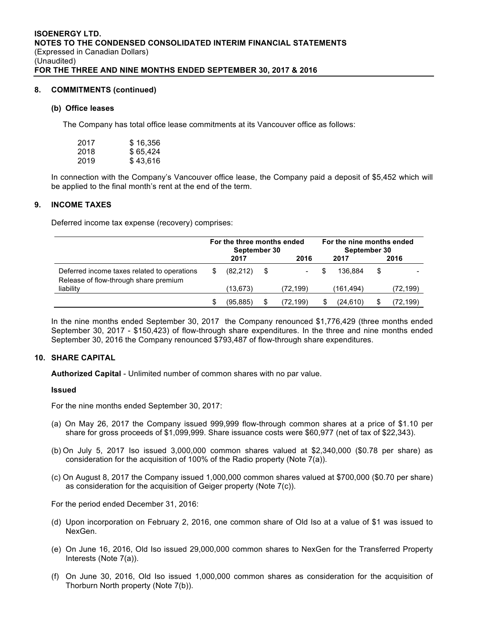#### **8. COMMITMENTS (continued)**

#### **(b) Office leases**

The Company has total office lease commitments at its Vancouver office as follows:

| 2017 | \$16,356 |
|------|----------|
| 2018 | \$65,424 |
| 2019 | \$43,616 |

In connection with the Company's Vancouver office lease, the Company paid a deposit of \$5,452 which will be applied to the final month's rent at the end of the term.

# **9. INCOME TAXES**

Deferred income tax expense (recovery) comprises:

|                                                                                      | For the three months ended<br>September 30 |           |   |          |  | For the nine months ended<br>September 30 |    |          |  |
|--------------------------------------------------------------------------------------|--------------------------------------------|-----------|---|----------|--|-------------------------------------------|----|----------|--|
|                                                                                      |                                            | 2017      |   | 2016     |  | 2017                                      |    | 2016     |  |
| Deferred income taxes related to operations<br>Release of flow-through share premium | S                                          | (82.212)  | S |          |  | 136.884                                   | \$ |          |  |
| liability                                                                            |                                            | (13, 673) |   | (72,199) |  | (161,494)                                 |    | (72,199) |  |
|                                                                                      | S                                          | (95, 885) | S | (72.199) |  | (24.610)                                  |    | (72,199) |  |

In the nine months ended September 30, 2017 the Company renounced \$1,776,429 (three months ended September 30, 2017 - \$150,423) of flow-through share expenditures. In the three and nine months ended September 30, 2016 the Company renounced \$793,487 of flow-through share expenditures.

# **10. SHARE CAPITAL**

**Authorized Capital** - Unlimited number of common shares with no par value.

#### **Issued**

For the nine months ended September 30, 2017:

- (a) On May 26, 2017 the Company issued 999,999 flow-through common shares at a price of \$1.10 per share for gross proceeds of \$1,099,999. Share issuance costs were \$60,977 (net of tax of \$22,343).
- (b) On July 5, 2017 Iso issued 3,000,000 common shares valued at \$2,340,000 (\$0.78 per share) as consideration for the acquisition of 100% of the Radio property (Note 7(a)).
- (c) On August 8, 2017 the Company issued 1,000,000 common shares valued at \$700,000 (\$0.70 per share) as consideration for the acquisition of Geiger property (Note 7(c)).

For the period ended December 31, 2016:

- (d) Upon incorporation on February 2, 2016, one common share of Old Iso at a value of \$1 was issued to NexGen.
- (e) On June 16, 2016, Old Iso issued 29,000,000 common shares to NexGen for the Transferred Property Interests (Note 7(a)).
- (f) On June 30, 2016, Old Iso issued 1,000,000 common shares as consideration for the acquisition of Thorburn North property (Note 7(b)).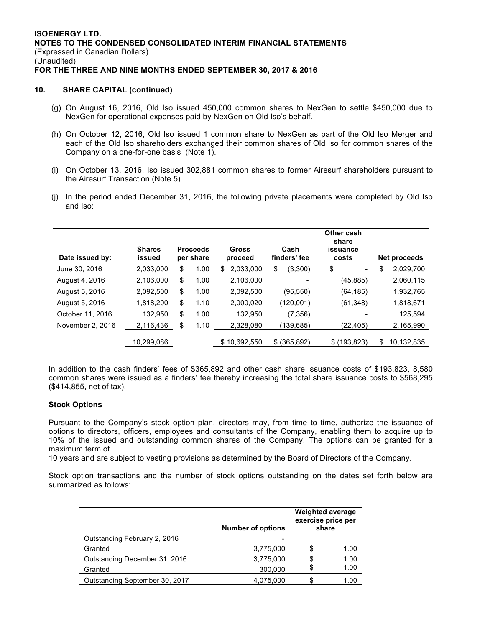# **10. SHARE CAPITAL (continued)**

- (g) On August 16, 2016, Old Iso issued 450,000 common shares to NexGen to settle \$450,000 due to NexGen for operational expenses paid by NexGen on Old Iso's behalf.
- (h) On October 12, 2016, Old Iso issued 1 common share to NexGen as part of the Old Iso Merger and each of the Old Iso shareholders exchanged their common shares of Old Iso for common shares of the Company on a one-for-one basis (Note 1).
- (i) On October 13, 2016, Iso issued 302,881 common shares to former Airesurf shareholders pursuant to the Airesurf Transaction (Note 5).
- (j) In the period ended December 31, 2016, the following private placements were completed by Old Iso and Iso:

| Date issued by:  | <b>Shares</b><br>issued | <b>Proceeds</b><br>per share | Gross<br>proceed | Cash<br>finders' fee | Other cash<br>share<br>issuance<br>costs | Net proceeds     |
|------------------|-------------------------|------------------------------|------------------|----------------------|------------------------------------------|------------------|
| June 30, 2016    | 2.033.000               | \$<br>1.00                   | 2.033.000<br>S   | \$<br>(3,300)        | \$<br>$\qquad \qquad \blacksquare$       | \$<br>2,029,700  |
| August 4, 2016   | 2.106.000               | \$<br>1.00                   | 2.106.000        |                      | (45, 885)                                | 2,060,115        |
| August 5, 2016   | 2,092,500               | \$<br>1.00                   | 2,092,500        | (95, 550)            | (64, 185)                                | 1,932,765        |
| August 5, 2016   | 1,818,200               | \$<br>1.10                   | 2,000,020        | (120,001)            | (61, 348)                                | 1,818,671        |
| October 11, 2016 | 132.950                 | \$<br>1.00                   | 132.950          | (7, 356)             |                                          | 125.594          |
| November 2, 2016 | 2,116,436               | \$<br>1.10                   | 2,328,080        | (139,685)            | (22,405)                                 | 2,165,990        |
|                  | 10,299,086              |                              | \$10,692,550     | $$$ (365,892)        | \$(193, 823)                             | \$<br>10,132,835 |

In addition to the cash finders' fees of \$365,892 and other cash share issuance costs of \$193,823, 8,580 common shares were issued as a finders' fee thereby increasing the total share issuance costs to \$568,295 (\$414,855, net of tax).

# **Stock Options**

Pursuant to the Company's stock option plan, directors may, from time to time, authorize the issuance of options to directors, officers, employees and consultants of the Company, enabling them to acquire up to 10% of the issued and outstanding common shares of the Company. The options can be granted for a maximum term of

10 years and are subject to vesting provisions as determined by the Board of Directors of the Company.

Stock option transactions and the number of stock options outstanding on the dates set forth below are summarized as follows:

|                                | <b>Number of options</b> | <b>Weighted average</b><br>exercise price per<br>share |      |
|--------------------------------|--------------------------|--------------------------------------------------------|------|
| Outstanding February 2, 2016   |                          |                                                        |      |
| Granted                        | 3,775,000                |                                                        | 1.00 |
| Outstanding December 31, 2016  | 3,775,000                | S                                                      | 1.00 |
| Granted                        | 300,000                  |                                                        | 1.00 |
| Outstanding September 30, 2017 | 4,075,000                |                                                        | 1.00 |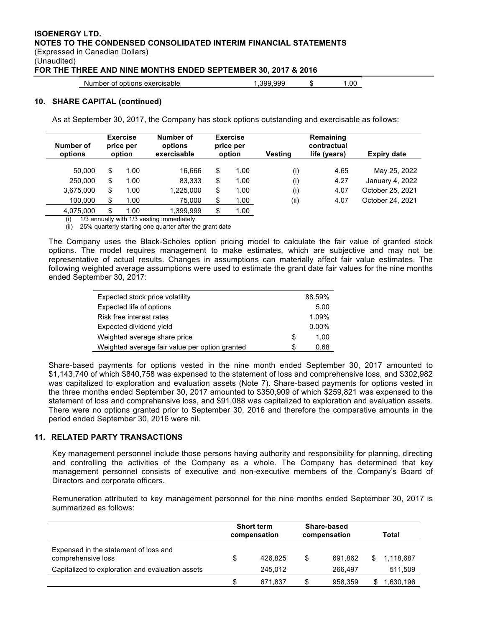# **ISOENERGY LTD. NOTES TO THE CONDENSED CONSOLIDATED INTERIM FINANCIAL STATEMENTS** (Expressed in Canadian Dollars) (Unaudited)

**FOR THE THREE AND NINE MONTHS ENDED SEPTEMBER 30, 2017 & 2016**

| Number of options exercisable | .399.999 |  | .00 |
|-------------------------------|----------|--|-----|
|-------------------------------|----------|--|-----|

#### **10. SHARE CAPITAL (continued)**

As at September 30, 2017, the Company has stock options outstanding and exercisable as follows:

| Number of<br>options | <b>Exercise</b><br>price per<br>option |      | Number of<br>options<br>exercisable |    | <b>Exercise</b><br>price per<br>option | Vestina | Remaining<br>contractual<br>life (years) | Expiry date      |
|----------------------|----------------------------------------|------|-------------------------------------|----|----------------------------------------|---------|------------------------------------------|------------------|
| 50.000               | \$                                     | 1.00 | 16.666                              | \$ | 1.00                                   | (i)     | 4.65                                     | May 25, 2022     |
| 250,000              | \$                                     | 1.00 | 83.333                              | \$ | 1.00                                   | (i)     | 4.27                                     | January 4, 2022  |
| 3,675,000            | \$                                     | 1.00 | 1.225.000                           | \$ | 1.00                                   | (i)     | 4.07                                     | October 25, 2021 |
| 100.000              | \$                                     | 1.00 | 75.000                              | \$ | 1.00                                   | (ii)    | 4.07                                     | October 24, 2021 |
| 4,075,000            | \$                                     | 1.00 | 1,399,999                           | \$ | 1.00                                   |         |                                          |                  |

(i) 1/3 annually with 1/3 vesting immediately

(ii) 25% quarterly starting one quarter after the grant date

The Company uses the Black-Scholes option pricing model to calculate the fair value of granted stock options. The model requires management to make estimates, which are subjective and may not be representative of actual results. Changes in assumptions can materially affect fair value estimates. The following weighted average assumptions were used to estimate the grant date fair values for the nine months ended September 30, 2017:

| Expected stock price volatility                |   | 88.59%   |
|------------------------------------------------|---|----------|
| Expected life of options                       |   | 5.00     |
| Risk free interest rates                       |   | 1.09%    |
| Expected dividend yield                        |   | $0.00\%$ |
| Weighted average share price                   | S | 1.00     |
| Weighted average fair value per option granted | S | 0.68     |

Share-based payments for options vested in the nine month ended September 30, 2017 amounted to \$1,143,740 of which \$840,758 was expensed to the statement of loss and comprehensive loss, and \$302,982 was capitalized to exploration and evaluation assets (Note 7). Share-based payments for options vested in the three months ended September 30, 2017 amounted to \$350,909 of which \$259,821 was expensed to the statement of loss and comprehensive loss, and \$91,088 was capitalized to exploration and evaluation assets. There were no options granted prior to September 30, 2016 and therefore the comparative amounts in the period ended September 30, 2016 were nil.

# **11. RELATED PARTY TRANSACTIONS**

Key management personnel include those persons having authority and responsibility for planning, directing and controlling the activities of the Company as a whole. The Company has determined that key management personnel consists of executive and non-executive members of the Company's Board of Directors and corporate officers.

Remuneration attributed to key management personnel for the nine months ended September 30, 2017 is summarized as follows:

|                                                             | <b>Short term</b><br>compensation |         | Share-based<br>compensation |         | Total |           |
|-------------------------------------------------------------|-----------------------------------|---------|-----------------------------|---------|-------|-----------|
| Expensed in the statement of loss and<br>comprehensive loss | \$                                | 426.825 | \$                          | 691.862 | S.    | 1.118.687 |
| Capitalized to exploration and evaluation assets            |                                   | 245.012 |                             | 266.497 |       | 511,509   |
|                                                             | S                                 | 671.837 | S                           | 958.359 |       | 1,630,196 |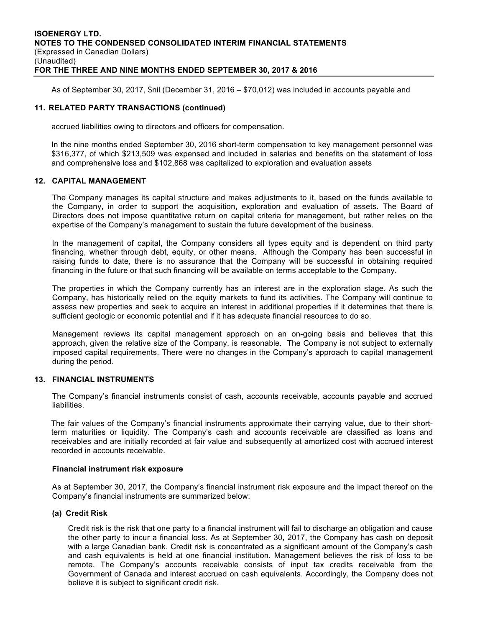As of September 30, 2017, \$nil (December 31, 2016 – \$70,012) was included in accounts payable and

# **11. RELATED PARTY TRANSACTIONS (continued)**

accrued liabilities owing to directors and officers for compensation.

In the nine months ended September 30, 2016 short-term compensation to key management personnel was \$316,377, of which \$213,509 was expensed and included in salaries and benefits on the statement of loss and comprehensive loss and \$102,868 was capitalized to exploration and evaluation assets

#### **12. CAPITAL MANAGEMENT**

The Company manages its capital structure and makes adjustments to it, based on the funds available to the Company, in order to support the acquisition, exploration and evaluation of assets. The Board of Directors does not impose quantitative return on capital criteria for management, but rather relies on the expertise of the Company's management to sustain the future development of the business.

 In the management of capital, the Company considers all types equity and is dependent on third party financing, whether through debt, equity, or other means. Although the Company has been successful in raising funds to date, there is no assurance that the Company will be successful in obtaining required financing in the future or that such financing will be available on terms acceptable to the Company.

The properties in which the Company currently has an interest are in the exploration stage. As such the Company, has historically relied on the equity markets to fund its activities. The Company will continue to assess new properties and seek to acquire an interest in additional properties if it determines that there is sufficient geologic or economic potential and if it has adequate financial resources to do so.

Management reviews its capital management approach on an on-going basis and believes that this approach, given the relative size of the Company, is reasonable. The Company is not subject to externally imposed capital requirements. There were no changes in the Company's approach to capital management during the period.

# **13. FINANCIAL INSTRUMENTS**

The Company's financial instruments consist of cash, accounts receivable, accounts payable and accrued liabilities.

The fair values of the Company's financial instruments approximate their carrying value, due to their shortterm maturities or liquidity. The Company's cash and accounts receivable are classified as loans and receivables and are initially recorded at fair value and subsequently at amortized cost with accrued interest recorded in accounts receivable.

#### **Financial instrument risk exposure**

As at September 30, 2017, the Company's financial instrument risk exposure and the impact thereof on the Company's financial instruments are summarized below:

# **(a) Credit Risk**

Credit risk is the risk that one party to a financial instrument will fail to discharge an obligation and cause the other party to incur a financial loss. As at September 30, 2017, the Company has cash on deposit with a large Canadian bank. Credit risk is concentrated as a significant amount of the Company's cash and cash equivalents is held at one financial institution. Management believes the risk of loss to be remote. The Company's accounts receivable consists of input tax credits receivable from the Government of Canada and interest accrued on cash equivalents. Accordingly, the Company does not believe it is subject to significant credit risk.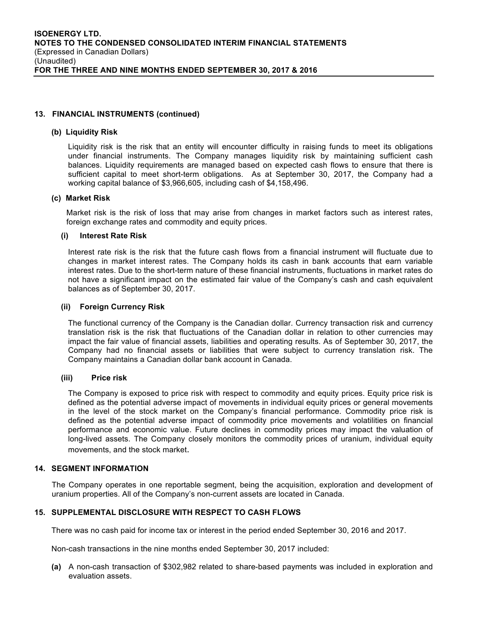#### **13. FINANCIAL INSTRUMENTS (continued)**

#### **(b) Liquidity Risk**

Liquidity risk is the risk that an entity will encounter difficulty in raising funds to meet its obligations under financial instruments. The Company manages liquidity risk by maintaining sufficient cash balances. Liquidity requirements are managed based on expected cash flows to ensure that there is sufficient capital to meet short-term obligations. As at September 30, 2017, the Company had a working capital balance of \$3,966,605, including cash of \$4,158,496.

#### **(c) Market Risk**

Market risk is the risk of loss that may arise from changes in market factors such as interest rates, foreign exchange rates and commodity and equity prices.

#### **(i) Interest Rate Risk**

Interest rate risk is the risk that the future cash flows from a financial instrument will fluctuate due to changes in market interest rates. The Company holds its cash in bank accounts that earn variable interest rates. Due to the short-term nature of these financial instruments, fluctuations in market rates do not have a significant impact on the estimated fair value of the Company's cash and cash equivalent balances as of September 30, 2017.

#### **(ii) Foreign Currency Risk**

The functional currency of the Company is the Canadian dollar. Currency transaction risk and currency translation risk is the risk that fluctuations of the Canadian dollar in relation to other currencies may impact the fair value of financial assets, liabilities and operating results. As of September 30, 2017, the Company had no financial assets or liabilities that were subject to currency translation risk. The Company maintains a Canadian dollar bank account in Canada.

#### **(iii) Price risk**

The Company is exposed to price risk with respect to commodity and equity prices. Equity price risk is defined as the potential adverse impact of movements in individual equity prices or general movements in the level of the stock market on the Company's financial performance. Commodity price risk is defined as the potential adverse impact of commodity price movements and volatilities on financial performance and economic value. Future declines in commodity prices may impact the valuation of long-lived assets. The Company closely monitors the commodity prices of uranium, individual equity movements, and the stock market.

#### **14. SEGMENT INFORMATION**

The Company operates in one reportable segment, being the acquisition, exploration and development of uranium properties. All of the Company's non-current assets are located in Canada.

# **15. SUPPLEMENTAL DISCLOSURE WITH RESPECT TO CASH FLOWS**

There was no cash paid for income tax or interest in the period ended September 30, 2016 and 2017.

Non-cash transactions in the nine months ended September 30, 2017 included:

**(a)** A non-cash transaction of \$302,982 related to share-based payments was included in exploration and evaluation assets.